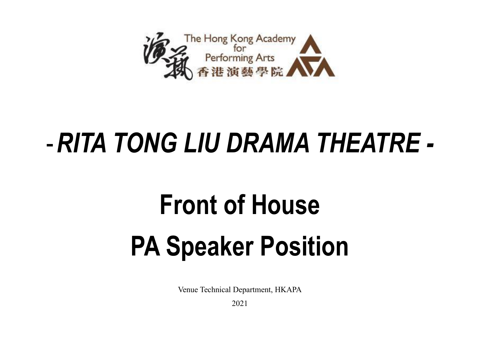

## -*RITA TONG LIU DRAMA THEATRE -*

## **Front of House PA Speaker Position**

Venue Technical Department, HKAPA

2021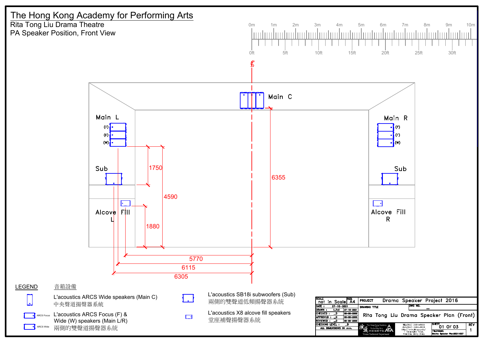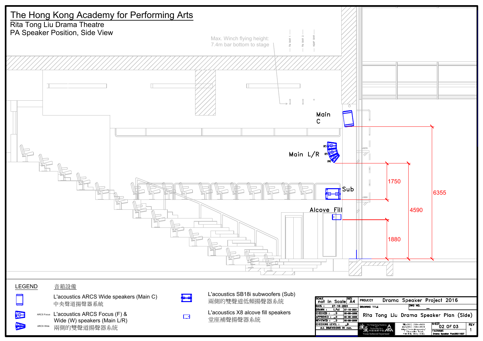